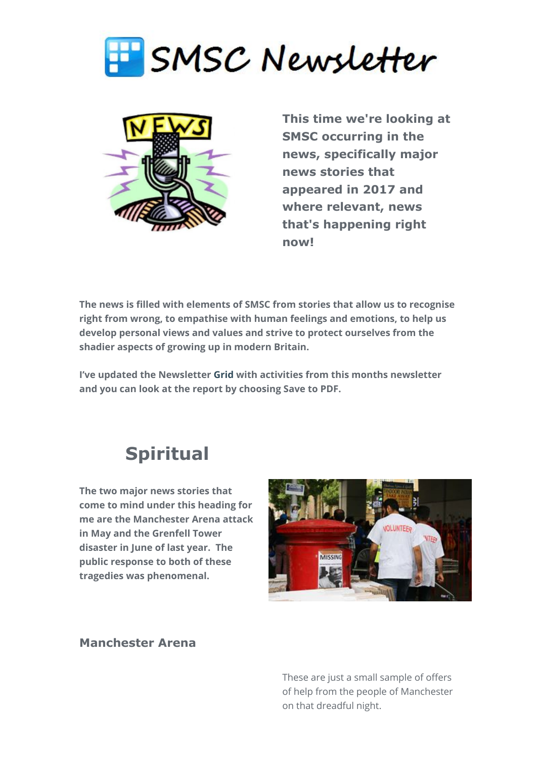



**This time we're looking at SMSC occurring in the news, specifically major news stories that appeared in 2017 and where relevant, news that's happening right now!** 

**The news is filled with elements of SMSC from stories that allow us to recognise right from wrong, to empathise with human feelings and emotions, to help us develop personal views and values and strive to protect ourselves from the shadier aspects of growing up in modern Britain.**

**I've updated the Newsletter [Grid](http://www.gridmaker.net/newsletter/view) with activities from this months newsletter and you can look at the report by choosing Save to PDF.**

## **Spiritual**

**The two major news stories that come to mind under this heading for me are the Manchester Arena attack in May and the Grenfell Tower disaster in June of last year. The public response to both of these tragedies was phenomenal.** 



#### **Manchester Arena**

These are just a small sample of offers of help from the people of Manchester on that dreadful night.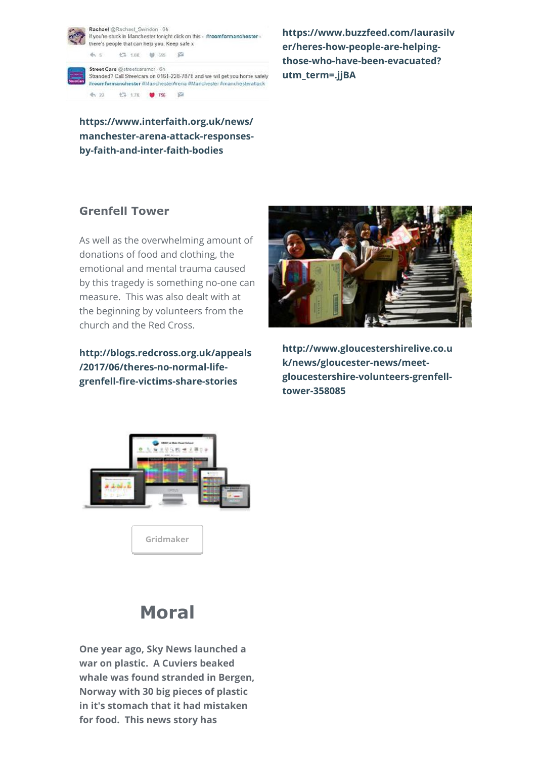Rachael @Rachael Swindon . 6h If you're stuck in Manchester tonight click on this - #roomformanchester there's people that can help you. Keep safe x

**七斗 1.0K – 9 655**  $65$  $\mathcal{L}$ 

Street Cars @streetcarsmcr . 6h Stranded? Call Streetcars on 0161-228-7878 and we will get you home safely #roomformanchester #ManchesterArena #Manchester #manchesterattack €7 1.7K ● 756 图  $4, 22$ 

**[https://www.buzzfeed.com/laurasilv](https://www.buzzfeed.com/laurasilver/heres-how-people-are-helping-those-who-have-been-evacuated?utm_term=.skzVdJ83Z#.bxA6eAxlZ) er/heres-how-people-are-helpingthose-who-have-been-evacuated? utm\_term=.jjBA**

**https://www.interfaith.org.uk/news/ [manchester-arena-attack-responses](https://www.interfaith.org.uk/news/manchester-arena-attack-responses-by-faith-and-inter-faith-bodies)by-faith-and-inter-faith-bodies**

## **Grenfell Tower**

As well as the overwhelming amount of donations of food and clothing, the emotional and mental trauma caused by this tragedy is something no-one can measure. This was also dealt with at the beginning by volunteers from the church and the Red Cross.

**[http://blogs.redcross.org.uk/appeals](http://blogs.redcross.org.uk/appeals/2017/06/theres-no-normal-life-grenfell-fire-victims-share-stories/) /2017/06/theres-no-normal-lifegrenfell-fire-victims-share-stories**



**[http://www.gloucestershirelive.co.u](https://www.gloucestershirelive.co.uk/news/gloucester-news/meet-gloucestershire-volunteers-grenfell-tower-358085) k/news/gloucester-news/meetgloucestershire-volunteers-grenfelltower-358085**



**[Gridmaker](http://smsc.opeus.org/)**

# **Moral**

**One year ago, Sky News launched a war on plastic. A Cuviers beaked whale was found stranded in Bergen, Norway with 30 big pieces of plastic in it's stomach that it had mistaken for food. This news story has**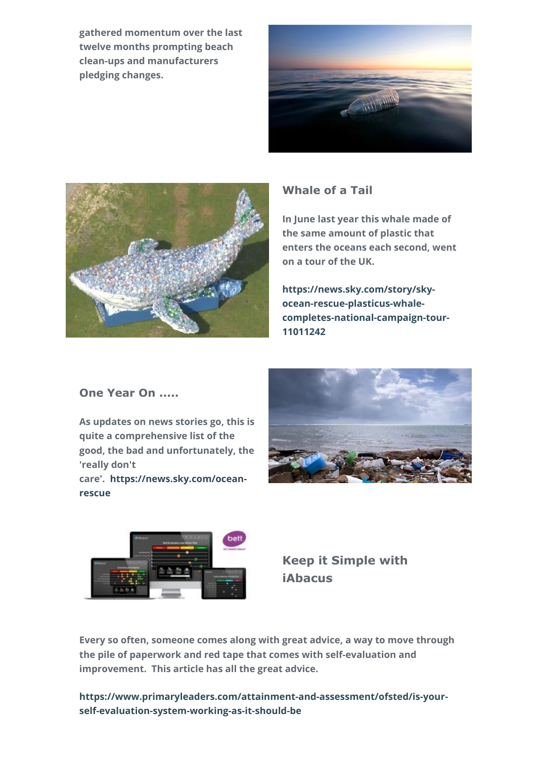**gathered momentum over the last twelve months prompting beach clean-ups and manufacturers pledging changes.** 





### **Whale of a Tail**

**In June last year this whale made of the same amount of plastic that enters the oceans each second, went on a tour of the UK.**

**https://news.sky.com/story/skyocean-rescue-plasticus-whale[completes-national-campaign-tour-](https://news.sky.com/story/sky-ocean-rescue-plasticus-whale-completes-national-campaign-tour-11011242)11011242**

### **One Year On .....**

**As updates on news stories go, this is quite a comprehensive list of the good, the bad and unfortunately, the 'really don't**

**[care'. https://news.sky.com/ocean](https://news.sky.com/ocean-rescue)rescue**





**Keep it Simple with iAbacus**

**Every so often, someone comes along with great advice, a way to move through the pile of paperwork and red tape that comes with self-evaluation and improvement. This article has all the great advice.**

**[https://www.primaryleaders.com/attainment-and-assessment/ofsted/is-your](https://www.primaryleaders.com/attainment-and-assessment/ofsted/is-your-self-evaluation-system-working-as-it-should-be)self-evaluation-system-working-as-it-should-be**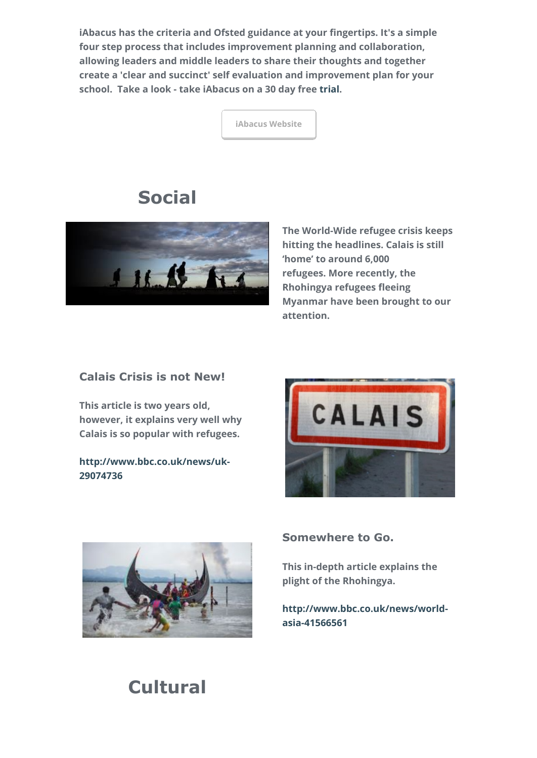**iAbacus has the criteria and Ofsted guidance at your fingertips. It's a simple four step process that includes improvement planning and collaboration, allowing leaders and middle leaders to share their thoughts and together create a 'clear and succinct' self evaluation and improvement plan for your school. Take a look - take iAbacus on a 30 day free [trial](https://www.iabacus.me/login#!create_an_account).** 

**[iAbacus Website](https://www.iabacus.co.uk/)**

## **Social**



**The World-Wide refugee crisis keeps hitting the headlines. Calais is still 'home' to around 6,000 refugees. More recently, the Rhohingya refugees fleeing Myanmar have been brought to our attention.**

### **Calais Crisis is not New!**

**This article is two years old, however, it explains very well why Calais is so popular with refugees.**

**[http://www.bbc.co.uk/news/uk-](http://www.bbc.co.uk/news/uk-29074736)29074736**





#### **Somewhere to Go.**

**This in-depth article explains the plight of the Rhohingya.**

**[http://www.bbc.co.uk/news/world](http://www.bbc.co.uk/news/world-asia-41566561)asia-41566561**

# **Cultural**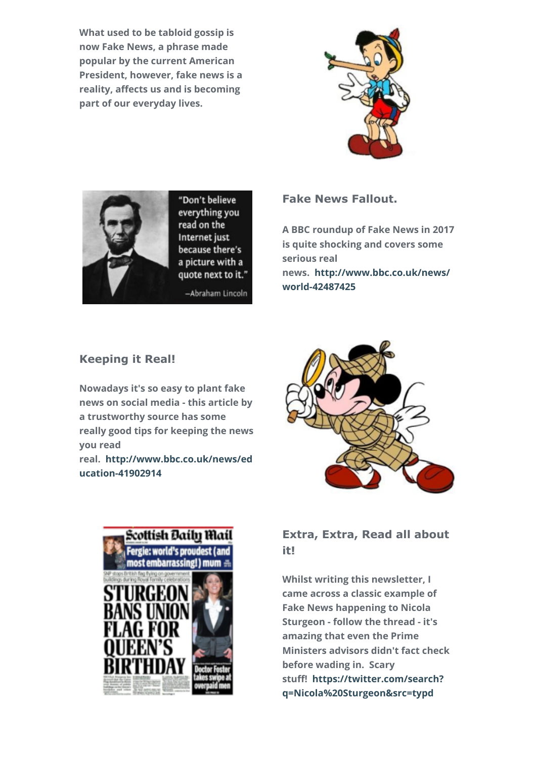**What used to be tabloid gossip is now Fake News, a phrase made popular by the current American President, however, fake news is a reality, affects us and is becoming part of our everyday lives.**





"Don't believe everything you read on the Internet just because there's a picture with a quote next to it."

-Abraham Lincoln

#### **Fake News Fallout.**

**A BBC roundup of Fake News in 2017 is quite shocking and covers some serious real [news. http://www.bbc.co.uk/news/](http://www.bbc.co.uk/news/world-42487425) world-42487425**

#### **Keeping it Real!**

**Nowadays it's so easy to plant fake news on social media - this article by a trustworthy source has some really good tips for keeping the news you read**

**[real. http://www.bbc.co.uk/news/ed](http://www.bbc.co.uk/news/education-41902914) ucation-41902914**





### **Extra, Extra, Read all about it!**

**Whilst writing this newsletter, I came across a classic example of Fake News happening to Nicola Sturgeon - follow the thread - it's amazing that even the Prime Ministers advisors didn't fact check before wading in. Scary [stuff! https://twitter.com/search?](https://twitter.com/search?q=Nicola%20Sturgeon&src=typd) q=Nicola%20Sturgeon&src=typd**